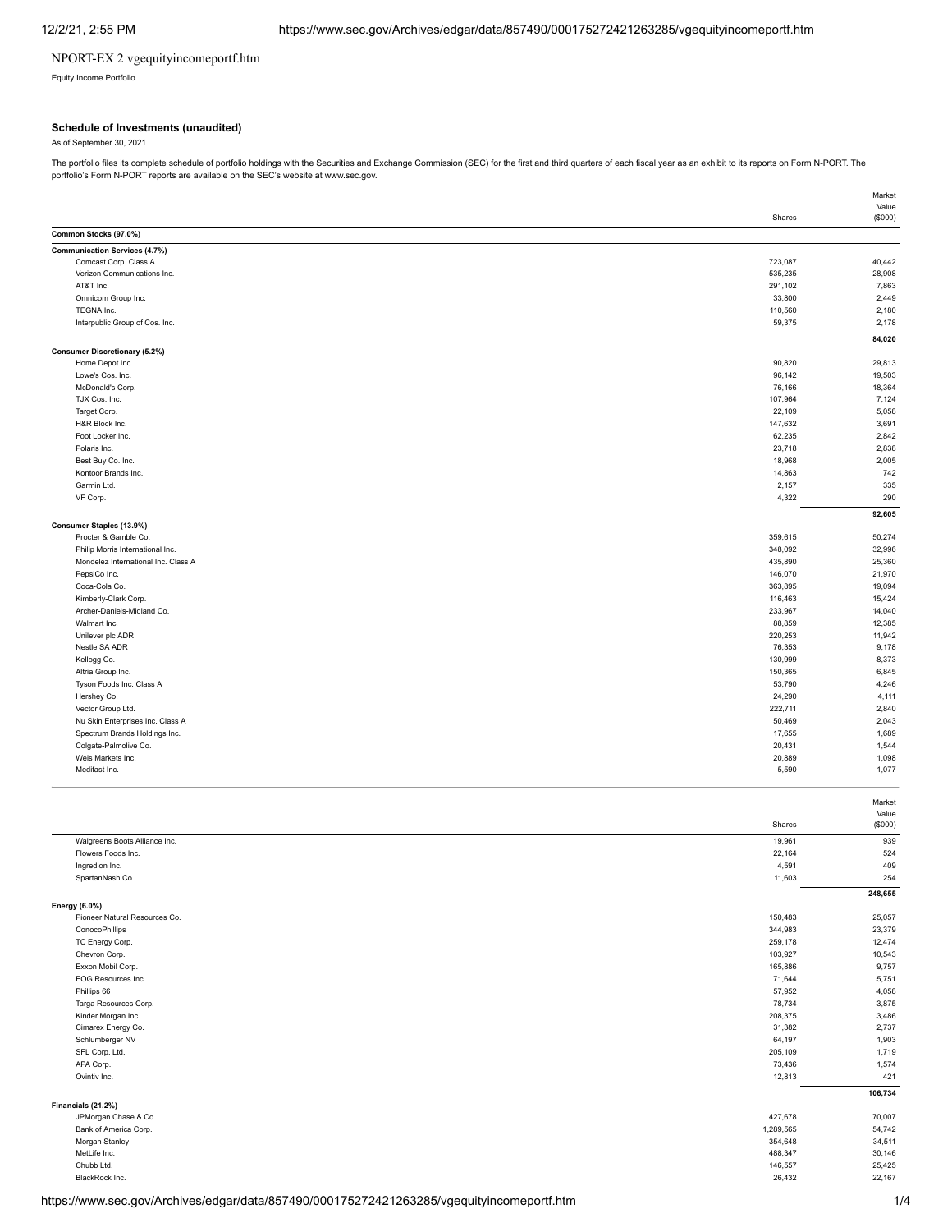## NPORT-EX 2 vgequityincomeportf.htm

Equity Income Portfolio

### **Schedule of Investments (unaudited)**

As of September 30, 2021

The portfolio files its complete schedule of portfolio holdings with the Securities and Exchange Commission (SEC) for the first and third quarters of each fiscal year as an exhibit to its reports on Form N-PORT. The portfolio's Form N-PORT reports are available on the SEC's website at www.sec.gov.

|                                                      |                    | Value            |
|------------------------------------------------------|--------------------|------------------|
|                                                      | Shares             | (\$000)          |
| Common Stocks (97.0%)                                |                    |                  |
| <b>Communication Services (4.7%)</b>                 | 723,087            | 40,442           |
| Comcast Corp. Class A<br>Verizon Communications Inc. | 535,235            | 28,908           |
| AT&T Inc.                                            | 291,102            | 7,863            |
| Omnicom Group Inc.                                   | 33,800             | 2,449            |
| TEGNA Inc.                                           | 110,560            | 2,180            |
| Interpublic Group of Cos. Inc.                       | 59,375             | 2,178            |
|                                                      |                    | 84,020           |
| <b>Consumer Discretionary (5.2%)</b>                 |                    |                  |
| Home Depot Inc.                                      | 90,820             | 29,813           |
| Lowe's Cos. Inc.                                     | 96,142             | 19,503           |
| McDonald's Corp.                                     | 76,166             | 18,364           |
| TJX Cos. Inc.                                        | 107,964            | 7,124            |
| Target Corp.<br>H&R Block Inc.                       | 22,109<br>147,632  | 5,058<br>3,691   |
| Foot Locker Inc.                                     | 62,235             | 2,842            |
| Polaris Inc.                                         | 23,718             | 2,838            |
| Best Buy Co. Inc.                                    | 18,968             | 2,005            |
| Kontoor Brands Inc.                                  | 14,863             | 742              |
| Garmin Ltd.                                          | 2,157              | 335              |
| VF Corp.                                             | 4,322              | 290              |
|                                                      |                    | 92,605           |
| Consumer Staples (13.9%)                             |                    |                  |
| Procter & Gamble Co.                                 | 359,615            | 50,274           |
| Philip Morris International Inc.                     | 348,092            | 32,996           |
| Mondelez International Inc. Class A                  | 435,890            | 25,360           |
| PepsiCo Inc.                                         | 146,070            | 21,970           |
| Coca-Cola Co.                                        | 363,895            | 19,094           |
| Kimberly-Clark Corp.                                 | 116,463            | 15,424           |
| Archer-Daniels-Midland Co.<br>Walmart Inc.           | 233,967<br>88,859  | 14,040<br>12,385 |
| Unilever plc ADR                                     | 220,253            | 11,942           |
| Nestle SA ADR                                        | 76,353             | 9,178            |
| Kellogg Co.                                          | 130,999            | 8,373            |
| Altria Group Inc.                                    | 150,365            | 6,845            |
| Tyson Foods Inc. Class A                             | 53,790             | 4,246            |
| Hershey Co.                                          | 24,290             | 4,111            |
| Vector Group Ltd.                                    | 222,711            | 2,840            |
| Nu Skin Enterprises Inc. Class A                     | 50,469             | 2,043            |
| Spectrum Brands Holdings Inc.                        | 17,655             | 1,689            |
| Colgate-Palmolive Co.                                | 20,431             | 1,544            |
| Weis Markets Inc.                                    | 20,889             | 1,098            |
| Medifast Inc.                                        | 5,590              | 1,077            |
|                                                      |                    |                  |
|                                                      |                    | Market<br>Value  |
|                                                      | Shares             | (\$000)          |
| Walgreens Boots Alliance Inc.                        | 19,961             | 939              |
| Flowers Foods Inc.                                   | 22,164             | 524              |
| Ingredion Inc.                                       | 4,591              | 409              |
| SpartanNash Co.                                      | 11,603             | 254              |
|                                                      |                    | 248,655          |
| Energy (6.0%)                                        |                    |                  |
| Pioneer Natural Resources Co.                        | 150,483            | 25,057           |
| ConocoPhillips                                       | 344,983            | 23,379           |
| TC Energy Corp.                                      | 259,178            | 12,474           |
| Chevron Corp.<br>Exxon Mobil Corp.                   | 103,927<br>165,886 | 10,543<br>9,757  |
| EOG Resources Inc.                                   | 71,644             | 5,751            |
| Phillips 66                                          | 57,952             | 4,058            |
| Targa Resources Corp.                                | 78,734             | 3,875            |
| Kinder Morgan Inc.                                   | 208,375            | 3,486            |
| Cimarex Energy Co.                                   | 31,382             | 2,737            |
| Schlumberger NV                                      | 64,197             | 1,903            |
| SFL Corp. Ltd.                                       | 205,109            | 1,719            |
| APA Corp.                                            | 73,436             | 1,574            |
| Ovintiv Inc.                                         | 12,813             | 421              |
|                                                      |                    | 106,734          |
| Financials (21.2%)<br>JPMorgan Chase & Co.           | 427,678            | 70,007           |
| Bank of America Corp.                                | 1,289,565          | 54,742           |
| Morgan Stanley                                       | 354,648            | 34,511           |
| MetLife Inc.                                         | 488,347            | 30,146           |
| Chubb Ltd.                                           | 146,557            | 25,425           |
| BlackRock Inc.                                       | 26,432             | 22,167           |

Market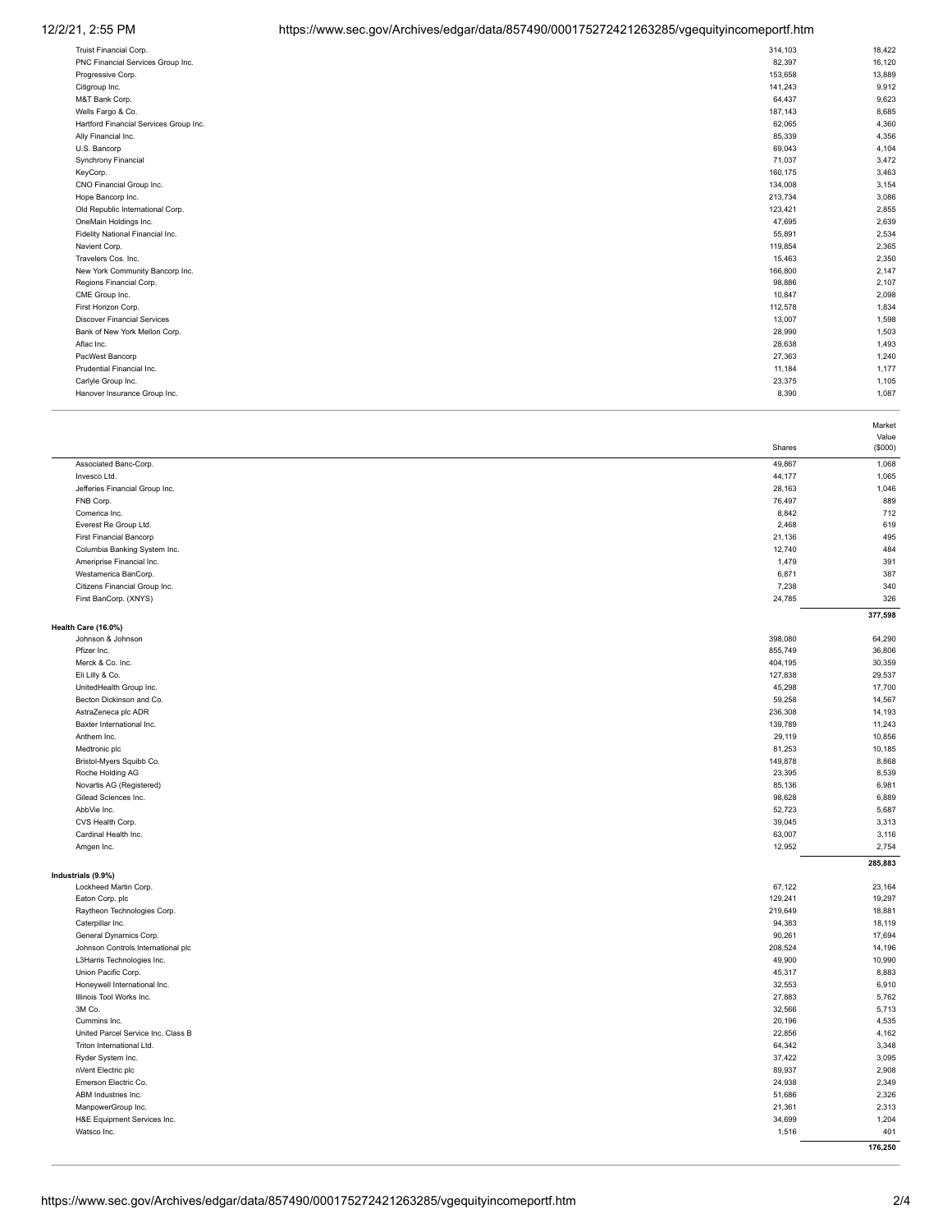# 12/2/21, 2:55 PM https://www.sec.gov/Archives/edgar/data/857490/000175272421263285/vgequityincomeportf.htm

| Truist Financial Corp.                 | 314,103 | 18,422 |
|----------------------------------------|---------|--------|
| PNC Financial Services Group Inc.      | 82,397  | 16,120 |
| Progressive Corp.                      | 153,658 | 13,889 |
| Citigroup Inc.                         | 141,243 | 9,912  |
| M&T Bank Corp.                         | 64,437  | 9,623  |
| Wells Fargo & Co.                      | 187,143 | 8,685  |
| Hartford Financial Services Group Inc. | 62,065  | 4,360  |
| Ally Financial Inc.                    | 85,339  | 4,356  |
| U.S. Bancorp                           | 69,043  | 4,104  |
| Synchrony Financial                    | 71,037  | 3,472  |
| KeyCorp.                               | 160,175 | 3,463  |
| CNO Financial Group Inc.               | 134,008 | 3,154  |
| Hope Bancorp Inc.                      | 213,734 | 3,086  |
| Old Republic International Corp.       | 123,421 | 2,855  |
| OneMain Holdings Inc.                  | 47,695  | 2,639  |
| Fidelity National Financial Inc.       | 55,891  | 2,534  |
| Navient Corp.                          | 119,854 | 2,365  |
| Travelers Cos. Inc.                    | 15,463  | 2,350  |
| New York Community Bancorp Inc.        | 166,800 | 2,147  |
| Regions Financial Corp.                | 98,886  | 2,107  |
| CME Group Inc.                         | 10,847  | 2,098  |
| First Horizon Corp.                    | 112,578 | 1,834  |
| <b>Discover Financial Services</b>     | 13,007  | 1,598  |
| Bank of New York Mellon Corp.          | 28,990  | 1,503  |
| Aflac Inc.                             | 28,638  | 1,493  |
| PacWest Bancorp                        | 27,363  | 1,240  |
| Prudential Financial Inc.              | 11,184  | 1,177  |
| Carlyle Group Inc.                     | 23,375  | 1,105  |
| Hanover Insurance Group Inc.           | 8,390   | 1,087  |
|                                        |         |        |

|                                             |         | Market  |
|---------------------------------------------|---------|---------|
|                                             | Shares  | Value   |
|                                             |         | (\$000) |
| Associated Banc-Corp.                       | 49,867  | 1,068   |
| Invesco Ltd.                                | 44,177  | 1,065   |
| Jefferies Financial Group Inc.              | 28,163  | 1,046   |
| FNB Corp.                                   | 76,497  | 889     |
| Comerica Inc.                               | 8,842   | 712     |
| Everest Re Group Ltd.                       | 2,468   | 619     |
| <b>First Financial Bancorp</b>              | 21,136  | 495     |
| Columbia Banking System Inc.                | 12,740  | 484     |
| Ameriprise Financial Inc.                   | 1,479   | 391     |
| Westamerica BanCorp.                        | 6,871   | 387     |
| Citizens Financial Group Inc.               | 7,238   | 340     |
| First BanCorp. (XNYS)                       | 24,785  | 326     |
|                                             |         | 377,598 |
| Health Care (16.0%)<br>Johnson & Johnson    | 398,080 | 64,290  |
|                                             | 855,749 |         |
| Pfizer Inc.                                 |         | 36,806  |
| Merck & Co. Inc.                            | 404,195 | 30,359  |
| Eli Lilly & Co.                             | 127,838 | 29,537  |
| UnitedHealth Group Inc.                     | 45,298  | 17,700  |
| Becton Dickinson and Co.                    | 59,258  | 14,567  |
| AstraZeneca plc ADR                         | 236,308 | 14,193  |
| Baxter International Inc.                   | 139,789 | 11,243  |
| Anthem Inc.                                 | 29,119  | 10,856  |
| Medtronic plc                               | 81,253  | 10,185  |
| Bristol-Myers Squibb Co.                    | 149,878 | 8,868   |
| Roche Holding AG                            | 23,395  | 8,539   |
| Novartis AG (Registered)                    | 85,136  | 6,981   |
| Gilead Sciences Inc.                        | 98,628  | 6,889   |
| AbbVie Inc.                                 | 52,723  | 5,687   |
| CVS Health Corp.                            | 39,045  | 3,313   |
| Cardinal Health Inc.                        | 63,007  | 3,116   |
| Amgen Inc.                                  | 12,952  | 2,754   |
|                                             |         | 285,883 |
| Industrials (9.9%)<br>Lockheed Martin Corp. | 67,122  | 23,164  |
| Eaton Corp. plc                             | 129,241 | 19,297  |
|                                             | 219,649 | 18,881  |
| Raytheon Technologies Corp.                 |         |         |
| Caterpillar Inc.                            | 94,383  | 18,119  |
| General Dynamics Corp.                      | 90,261  | 17,694  |
| Johnson Controls International plc          | 208,524 | 14,196  |
| L3Harris Technologies Inc.                  | 49,900  | 10,990  |
| Union Pacific Corp.                         | 45,317  | 8,883   |
| Honeywell International Inc.                | 32,553  | 6,910   |
| Illinois Tool Works Inc.                    | 27,883  | 5,762   |
| 3M Co.                                      | 32,566  | 5,713   |
| Cummins Inc.                                | 20,196  | 4,535   |
| United Parcel Service Inc. Class B          | 22,856  | 4,162   |
| Triton International Ltd.                   | 64,342  | 3,348   |
| Ryder System Inc.                           | 37,422  | 3,095   |
| nVent Electric plc                          | 89,937  | 2,908   |
| Emerson Electric Co.                        | 24,938  | 2,349   |
| ABM Industries Inc.                         | 51,686  | 2,326   |
| ManpowerGroup Inc.                          | 21,361  | 2,313   |
| H&E Equipment Services Inc.                 | 34,699  | 1,204   |
| Watsco Inc.                                 | 1,516   | 401     |
|                                             |         | 176,250 |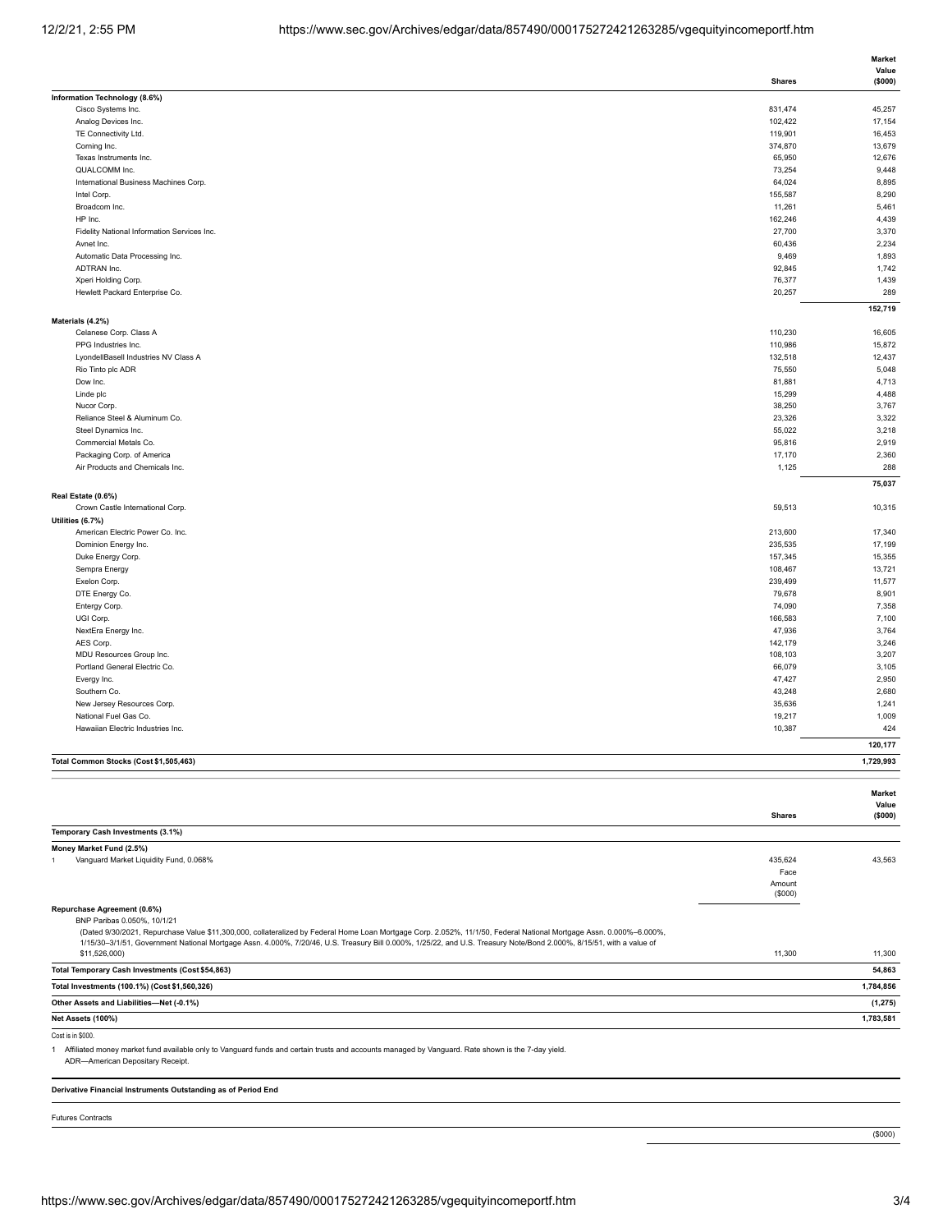|                                                                                                                                                                                       |                    | Market           |
|---------------------------------------------------------------------------------------------------------------------------------------------------------------------------------------|--------------------|------------------|
|                                                                                                                                                                                       |                    | Value            |
|                                                                                                                                                                                       | <b>Shares</b>      | (\$000)          |
| Information Technology (8.6%)<br>Cisco Systems Inc.                                                                                                                                   | 831,474            | 45,257           |
| Analog Devices Inc.                                                                                                                                                                   | 102,422            | 17,154           |
| TE Connectivity Ltd.                                                                                                                                                                  | 119,901            | 16,453           |
| Corning Inc.                                                                                                                                                                          | 374,870            | 13,679           |
| Texas Instruments Inc.                                                                                                                                                                | 65,950             | 12,676           |
| QUALCOMM Inc.                                                                                                                                                                         | 73,254             | 9,448            |
| International Business Machines Corp.                                                                                                                                                 | 64,024             | 8,895            |
| Intel Corp.                                                                                                                                                                           | 155,587            | 8,290            |
| Broadcom Inc.                                                                                                                                                                         | 11,261             | 5,461            |
| HP Inc.                                                                                                                                                                               | 162,246            | 4,439            |
| Fidelity National Information Services Inc.                                                                                                                                           | 27,700             | 3,370            |
| Avnet Inc.                                                                                                                                                                            | 60,436             | 2,234            |
| Automatic Data Processing Inc.                                                                                                                                                        | 9,469              | 1,893            |
| ADTRAN Inc.                                                                                                                                                                           | 92,845<br>76,377   | 1,742            |
| Xperi Holding Corp.<br>Hewlett Packard Enterprise Co.                                                                                                                                 | 20,257             | 1,439<br>289     |
|                                                                                                                                                                                       |                    |                  |
|                                                                                                                                                                                       |                    | 152,719          |
| Materials (4.2%)                                                                                                                                                                      |                    |                  |
| Celanese Corp. Class A<br>PPG Industries Inc.                                                                                                                                         | 110,230<br>110,986 | 16,605<br>15,872 |
| LyondellBasell Industries NV Class A                                                                                                                                                  | 132,518            | 12,437           |
| Rio Tinto plc ADR                                                                                                                                                                     | 75,550             | 5,048            |
| Dow Inc.                                                                                                                                                                              | 81,881             | 4,713            |
| Linde plc                                                                                                                                                                             | 15,299             | 4,488            |
| Nucor Corp.                                                                                                                                                                           | 38,250             | 3,767            |
| Reliance Steel & Aluminum Co.                                                                                                                                                         | 23,326             | 3,322            |
| Steel Dynamics Inc.                                                                                                                                                                   | 55,022             | 3,218            |
| Commercial Metals Co.                                                                                                                                                                 | 95,816             | 2,919            |
| Packaging Corp. of America                                                                                                                                                            | 17,170             | 2,360            |
| Air Products and Chemicals Inc.                                                                                                                                                       | 1,125              | 288              |
|                                                                                                                                                                                       |                    | 75,037           |
| Real Estate (0.6%)                                                                                                                                                                    |                    |                  |
| Crown Castle International Corp.                                                                                                                                                      | 59,513             | 10,315           |
| Utilities (6.7%)                                                                                                                                                                      |                    |                  |
| American Electric Power Co. Inc.                                                                                                                                                      | 213,600            | 17,340           |
| Dominion Energy Inc.                                                                                                                                                                  | 235,535            | 17,199           |
| Duke Energy Corp.                                                                                                                                                                     | 157,345            | 15,355           |
| Sempra Energy                                                                                                                                                                         | 108,467            | 13,721           |
| Exelon Corp.                                                                                                                                                                          | 239,499            | 11,577           |
| DTE Energy Co.                                                                                                                                                                        | 79,678             | 8,901            |
| Entergy Corp.                                                                                                                                                                         | 74,090             | 7,358            |
| UGI Corp.                                                                                                                                                                             | 166,583            | 7,100            |
| NextEra Energy Inc.                                                                                                                                                                   | 47,936             | 3,764            |
| AES Corp.                                                                                                                                                                             | 142,179            | 3,246            |
| MDU Resources Group Inc.<br>Portland General Electric Co.                                                                                                                             | 108,103            | 3,207            |
|                                                                                                                                                                                       | 66,079<br>47,427   | 3,105<br>2,950   |
| Evergy Inc.<br>Southern Co.                                                                                                                                                           | 43,248             | 2,680            |
| New Jersey Resources Corp.                                                                                                                                                            | 35,636             | 1,241            |
| National Fuel Gas Co.                                                                                                                                                                 | 19,217             | 1,009            |
| Hawaiian Electric Industries Inc.                                                                                                                                                     | 10,387             | 424              |
|                                                                                                                                                                                       |                    | 120,177          |
|                                                                                                                                                                                       |                    |                  |
| Total Common Stocks (Cost \$1,505,463)                                                                                                                                                |                    | 1,729,993        |
|                                                                                                                                                                                       |                    |                  |
|                                                                                                                                                                                       |                    | Market           |
|                                                                                                                                                                                       |                    | Value            |
|                                                                                                                                                                                       | <b>Shares</b>      | (\$000)          |
| Temporary Cash Investments (3.1%)                                                                                                                                                     |                    |                  |
| Money Market Fund (2.5%)                                                                                                                                                              |                    |                  |
| Vanguard Market Liquidity Fund, 0.068%<br>$\overline{1}$                                                                                                                              | 435,624            | 43,563           |
|                                                                                                                                                                                       | Face               |                  |
|                                                                                                                                                                                       | Amount             |                  |
|                                                                                                                                                                                       | (\$000)            |                  |
| Repurchase Agreement (0.6%)                                                                                                                                                           |                    |                  |
| BNP Paribas 0.050%, 10/1/21                                                                                                                                                           |                    |                  |
| (Dated 9/30/2021, Repurchase Value \$11,300,000, collateralized by Federal Home Loan Mortgage Corp. 2.052%, 11/1/50, Federal National Mortgage Assn. 0.000%-6.000%,                   |                    |                  |
| 1/15/30-3/1/51, Government National Mortgage Assn. 4.000%, 7/20/46, U.S. Treasury Bill 0.000%, 1/25/22, and U.S. Treasury Note/Bond 2.000%, 8/15/51, with a value of<br>\$11,526,000) | 11,300             | 11,300           |
|                                                                                                                                                                                       |                    |                  |
| Total Temporary Cash Investments (Cost \$54,863)                                                                                                                                      |                    | 54,863           |
| Total Investments (100.1%) (Cost \$1,560,326)                                                                                                                                         |                    | 1,784,856        |
| Other Assets and Liabilities-Net (-0.1%)                                                                                                                                              |                    | (1, 275)         |

**Net Assets (100%) 1,783,581**

Cost is in \$000.

1 Affiliated money market fund available only to Vanguard funds and certain trusts and accounts managed by Vanguard. Rate shown is the 7-day yield.

ADR—American Depositary Receipt.

**Derivative Financial Instruments Outstanding as of Period End**

Futures Contracts

(\$000)